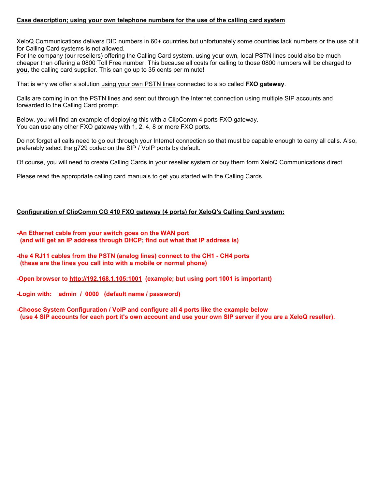## Case description; using your own telephone numbers for the use of the calling card system

XeloQ Communications delivers DID numbers in 60+ countries but unfortunately some countries lack numbers or the use of it for Calling Card systems is not allowed.

For the company (our resellers) offering the Calling Card system, using your own, local PSTN lines could also be much cheaper than offering a 0800 Toll Free number. This because all costs for calling to those 0800 numbers will be charged to you, the calling card supplier. This can go up to 35 cents per minute!

That is why we offer a solution using your own PSTN lines connected to a so called FXO gateway.

Calls are coming in on the PSTN lines and sent out through the Internet connection using multiple SIP accounts and forwarded to the Calling Card prompt.

Below, you will find an example of deploying this with a ClipComm 4 ports FXO gateway. You can use any other FXO gateway with 1, 2, 4, 8 or more FXO ports.

Do not forget all calls need to go out through your Internet connection so that must be capable enough to carry all calls. Also, preferably select the g729 codec on the SIP / VoIP ports by default.

Of course, you will need to create Calling Cards in your reseller system or buy them form XeloQ Communications direct.

Please read the appropriate calling card manuals to get you started with the Calling Cards.

### Configuration of ClipComm CG 410 FXO gateway (4 ports) for XeloQ's Calling Card system:

- -An Ethernet cable from your switch goes on the WAN port (and will get an IP address through DHCP; find out what that IP address is)
- -the 4 RJ11 cables from the PSTN (analog lines) connect to the CH1 CH4 ports (these are the lines you call into with a mobile or normal phone)
- -Open browser to http://192.168.1.105:1001 (example; but using port 1001 is important)
- -Login with: admin / 0000 (default name / password)
- -Choose System Configuration / VoIP and configure all 4 ports like the example below (use 4 SIP accounts for each port it's own account and use your own SIP server if you are a XeloQ reseller).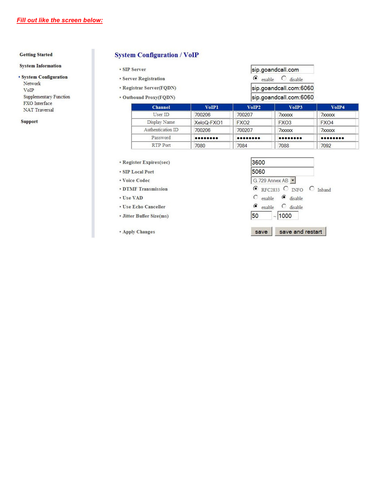**Getting Started** 

**System Information** 

• System Configuration Network VoIP Supplementary Function FXO Interface NAT Traversal

**Support** 

# **System Configuration / VoIP**

- SIP Server
- Server Registration
- Registrar Server(FQDN)
- Outbound Proxy(FQDN)

|  | sip.goandcall.com              |
|--|--------------------------------|
|  | $\odot$ enable $\odot$ disable |
|  | sip.goandcall.com:6060         |

sip.goandcall.com:6060

| <b>Channel</b>    | VoIP1      | VoIP2            | VoIP3            | VoIP4            |  |
|-------------------|------------|------------------|------------------|------------------|--|
| User ID           | 700206     | 700207           | 7x00000          | 7x00000          |  |
| Display Name      | XeloQ-FXO1 | FX <sub>O2</sub> | FXO <sub>3</sub> | FXO <sub>4</sub> |  |
| Authentication ID | 700206     | 700207           | 7x00000          | 7x00000          |  |
| Password          |            |                  |                  |                  |  |
| <b>RTP</b> Port   | 7080       | 7084             | 7088             | 7092             |  |

- Register Expires(sec)
- SIP Local Port
- Voice Codec
- DTMF Transmission
- Use VAD
- Use Echo Canceller
- Jitter Buffer Size(ms)
- \* Apply Changes

| 3600        |                                                             |  |
|-------------|-------------------------------------------------------------|--|
| 5060        |                                                             |  |
|             | G.729 Annex AB •                                            |  |
|             | C RFC2833 C INFO C Inband<br>$\circ$ enable $\circ$ disable |  |
| O<br>enable | $\circ$ disable                                             |  |
| 50          | $\sim 1000$                                                 |  |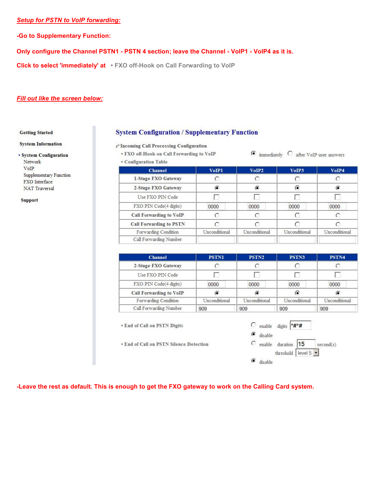### Setup for PSTN to VoIP forwarding: Ī

-Go to Supplementary Function:

# Only configure the Channel PSTN1 - PSTN 4 section; leave the Channel - VoIP1 - VoIP4 as it is.

Click to select 'immediately' at • FXO off-Hook on Call Forwarding to VoIP

### Fill out like the screen below:

#### **Getting Started**

**System Information** 

· System Configuration Network VoIP Supplementary Function FXO Interface NAT Traversal

**Support** 

### **System Configuration / Supplementary Function**

#### c<sup>o</sup> Incoming Call Processing Configuration

- FXO off-Hook on Call Forwarding to VoIP
- $\odot$  immediately  $\odot$  after VoIP user answers

| <b>Channel</b>                        | VoIP1 | VoIP2         | VoIP3         | VoIP4         |
|---------------------------------------|-------|---------------|---------------|---------------|
| 1-Stage FXO Gateway                   |       |               |               |               |
| 2-Stage FXO Gateway                   | G     | G             | Θ             | G             |
| Use FXO PIN Code                      |       |               |               |               |
| FXO PIN Code(4 digits)                | 0000  | 0000          | 0000          | 0000          |
| <b>Call Forwarding to VoIP</b>        |       |               |               |               |
| <b>Call Forwarding to PSTN</b>        | C     |               |               | C             |
| Unconditional<br>Forwarding Condition |       | Unconditional | Unconditional | Unconditional |
| Call Forwarding Number                |       |               |               |               |

| <b>Channel</b>                 | <b>PSTN1</b>  | PST <sub>N2</sub> | PSTN3         | PSTN4         |
|--------------------------------|---------------|-------------------|---------------|---------------|
| 2-Stage FXO Gateway            |               |                   |               |               |
| Use FXO PIN Code               |               |                   |               |               |
| FXO PIN Code(4 digits)         | 0000          | 0000              | 0000          | 0000          |
| <b>Call Forwarding to VoIP</b> | C             |                   | C             | C             |
| Forwarding Condition           | Unconditional | Unconditional     | Unconditional | Unconditional |
| Call Forwarding Number         | 909           | 909               | 909           | 909           |

• End of Call on PSTN Digits

. End of Call on PSTN Silence Detection



 $\bullet$  disable

-Leave the rest as default. This is enough to get the FXO gateway to work on the Calling Card system.